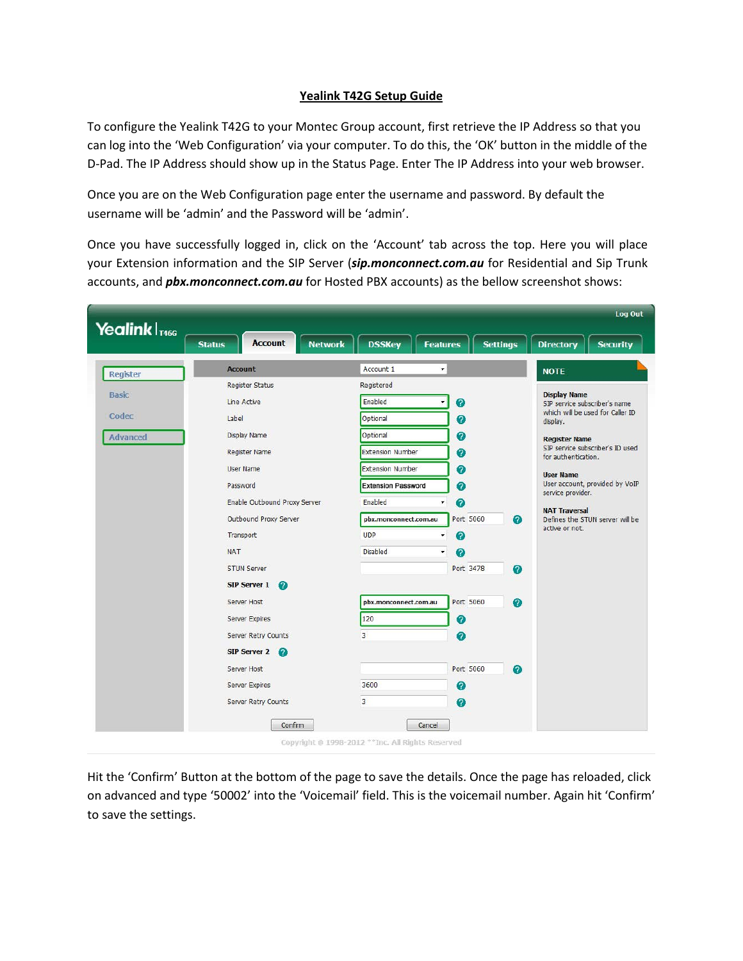## **Yealink T42G Setup Guide**

To configure the Yealink T42G to your Montec Group account, first retrieve the IP Address so that you can log into the 'Web Configuration' via your computer. To do this, the 'OK' button in the middle of the D-Pad. The IP Address should show up in the Status Page. Enter The IP Address into your web browser.

Once you are on the Web Configuration page enter the username and password. By default the username will be 'admin' and the Password will be 'admin'.

Once you have successfully logged in, click on the 'Account' tab across the top. Here you will place your Extension information and the SIP Server (*sip.monconnect.com.au* for Residential and Sip Trunk accounts, and *pbx.monconnect.com.au* for Hosted PBX accounts) as the bellow screenshot shows:

| <b>Register</b> | <b>Account</b>                  |                                  |                                    | <b>Directory</b><br><b>Security</b>                                                                                                                                                                                                     |
|-----------------|---------------------------------|----------------------------------|------------------------------------|-----------------------------------------------------------------------------------------------------------------------------------------------------------------------------------------------------------------------------------------|
|                 |                                 | Account 1<br>٠                   |                                    | <b>NOTE</b>                                                                                                                                                                                                                             |
|                 | <b>Register Status</b>          | Registered                       |                                    | <b>Display Name</b><br>SIP service subscriber's name                                                                                                                                                                                    |
| <b>Basic</b>    | Line Active                     | Enabled                          | ℯ                                  |                                                                                                                                                                                                                                         |
| Codec           | Label                           | Optional                         | 0                                  | which will be used for Caller ID<br>display.                                                                                                                                                                                            |
| Advanced        | Display Name                    | Optional                         | ❼                                  | <b>Register Name</b><br>SIP service subscriber's ID used<br>for authentication.<br><b>User Name</b><br>User account, provided by VoIP<br>service provider.<br><b>NAT Traversal</b><br>Defines the STUN server will be<br>active or not. |
|                 | <b>Register Name</b>            | <b>Extension Number</b>          | 0                                  |                                                                                                                                                                                                                                         |
|                 | <b>User Name</b>                | <b>Extension Number</b>          | 0                                  |                                                                                                                                                                                                                                         |
|                 | Password                        | <b>Extension Password</b>        | 0                                  |                                                                                                                                                                                                                                         |
|                 | Enable Outbound Proxy Server    | Enabled<br>Ψ.                    | 0                                  |                                                                                                                                                                                                                                         |
|                 | Outbound Proxy Server           | pbx.monconnect.com.au            | Port 5060<br>$\boldsymbol{Q}$      |                                                                                                                                                                                                                                         |
|                 | Transport                       | <b>UDP</b><br>$\pmb{\mathrm{v}}$ | 0                                  |                                                                                                                                                                                                                                         |
|                 | <b>NAT</b>                      | <b>Disabled</b><br>$\pmb{\tau}$  | Ø                                  |                                                                                                                                                                                                                                         |
|                 | <b>STUN Server</b>              |                                  | Port 3478<br>Ø                     |                                                                                                                                                                                                                                         |
|                 | <b>SIP Server 1</b><br>$\Omega$ |                                  |                                    |                                                                                                                                                                                                                                         |
|                 | Server Host                     | pbx.monconnect.com.au            | Port 5060<br>$\bullet$             |                                                                                                                                                                                                                                         |
|                 | <b>Server Expires</b>           | 120                              | 0                                  |                                                                                                                                                                                                                                         |
|                 | Server Retry Counts             | $\overline{3}$                   | 0                                  |                                                                                                                                                                                                                                         |
|                 | SIP Server 2                    |                                  |                                    |                                                                                                                                                                                                                                         |
|                 | Server Host                     |                                  | Port 5060<br>$\boldsymbol{\Omega}$ |                                                                                                                                                                                                                                         |
|                 | <b>Server Expires</b>           | 3600                             | ℯ                                  |                                                                                                                                                                                                                                         |
|                 | <b>Server Retry Counts</b>      | 3                                | 0                                  |                                                                                                                                                                                                                                         |
|                 | Confirm                         |                                  |                                    |                                                                                                                                                                                                                                         |

Hit the 'Confirm' Button at the bottom of the page to save the details. Once the page has reloaded, click on advanced and type '50002' into the 'Voicemail' field. This is the voicemail number. Again hit 'Confirm' to save the settings.